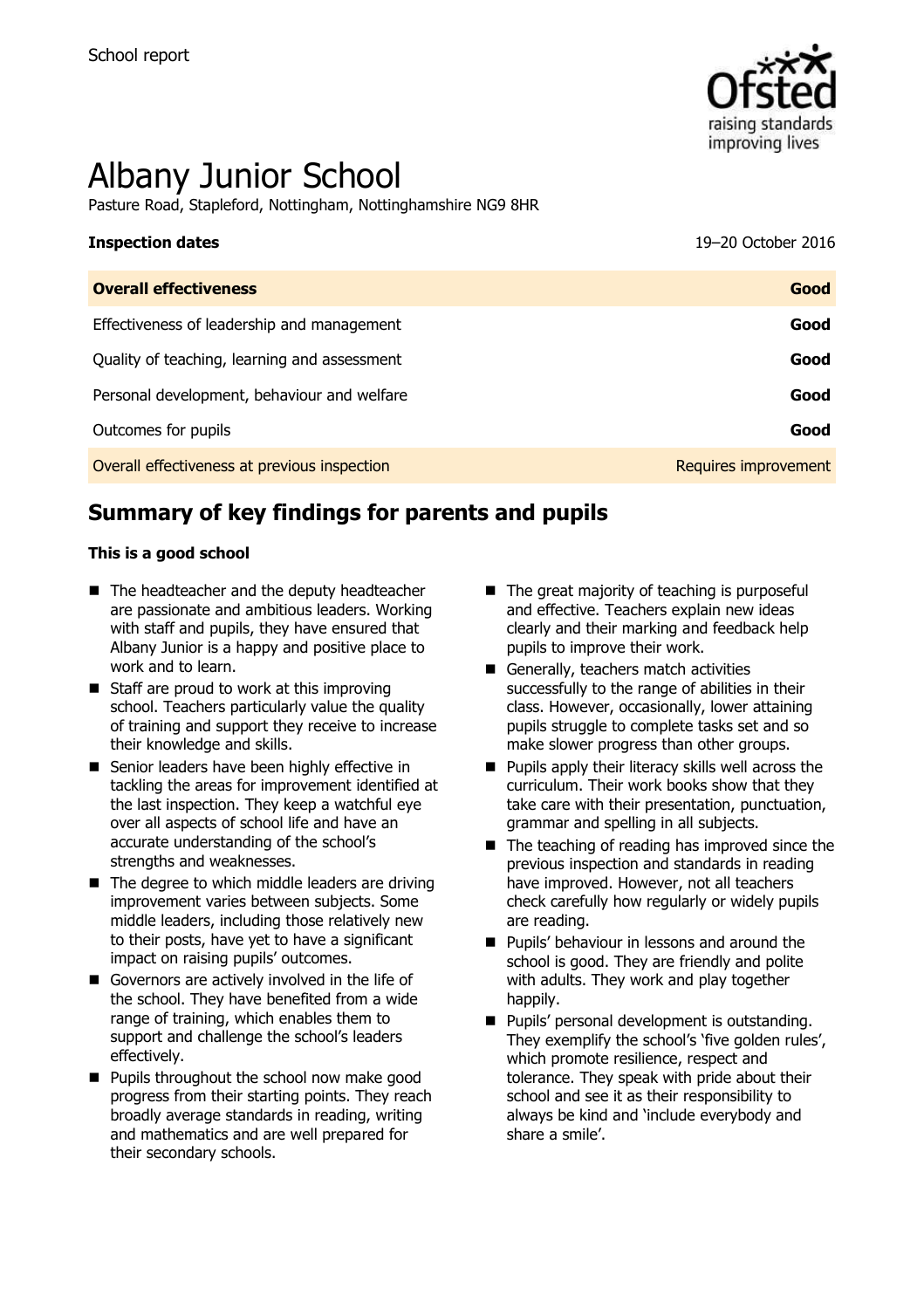

# Albany Junior School

Pasture Road, Stapleford, Nottingham, Nottinghamshire NG9 8HR

# **Inspection dates** 19–20 October 2016

| <b>Overall effectiveness</b>                 | Good                 |
|----------------------------------------------|----------------------|
| Effectiveness of leadership and management   | Good                 |
| Quality of teaching, learning and assessment | Good                 |
| Personal development, behaviour and welfare  | Good                 |
| Outcomes for pupils                          | Good                 |
| Overall effectiveness at previous inspection | Requires improvement |

# **Summary of key findings for parents and pupils**

#### **This is a good school**

- The headteacher and the deputy headteacher are passionate and ambitious leaders. Working with staff and pupils, they have ensured that Albany Junior is a happy and positive place to work and to learn.
- Staff are proud to work at this improving school. Teachers particularly value the quality of training and support they receive to increase their knowledge and skills.
- Senior leaders have been highly effective in tackling the areas for improvement identified at the last inspection. They keep a watchful eye over all aspects of school life and have an accurate understanding of the school's strengths and weaknesses.
- $\blacksquare$  The degree to which middle leaders are driving improvement varies between subjects. Some middle leaders, including those relatively new to their posts, have yet to have a significant impact on raising pupils' outcomes.
- Governors are actively involved in the life of the school. They have benefited from a wide range of training, which enables them to support and challenge the school's leaders effectively.
- **Pupils throughout the school now make good** progress from their starting points. They reach broadly average standards in reading, writing and mathematics and are well prepared for their secondary schools.
- $\blacksquare$  The great majority of teaching is purposeful and effective. Teachers explain new ideas clearly and their marking and feedback help pupils to improve their work.
- Generally, teachers match activities successfully to the range of abilities in their class. However, occasionally, lower attaining pupils struggle to complete tasks set and so make slower progress than other groups.
- $\blacksquare$  Pupils apply their literacy skills well across the curriculum. Their work books show that they take care with their presentation, punctuation, grammar and spelling in all subjects.
- The teaching of reading has improved since the previous inspection and standards in reading have improved. However, not all teachers check carefully how regularly or widely pupils are reading.
- **Pupils' behaviour in lessons and around the** school is good. They are friendly and polite with adults. They work and play together happily.
- **Pupils' personal development is outstanding.** They exemplify the school's 'five golden rules', which promote resilience, respect and tolerance. They speak with pride about their school and see it as their responsibility to always be kind and 'include everybody and share a smile'.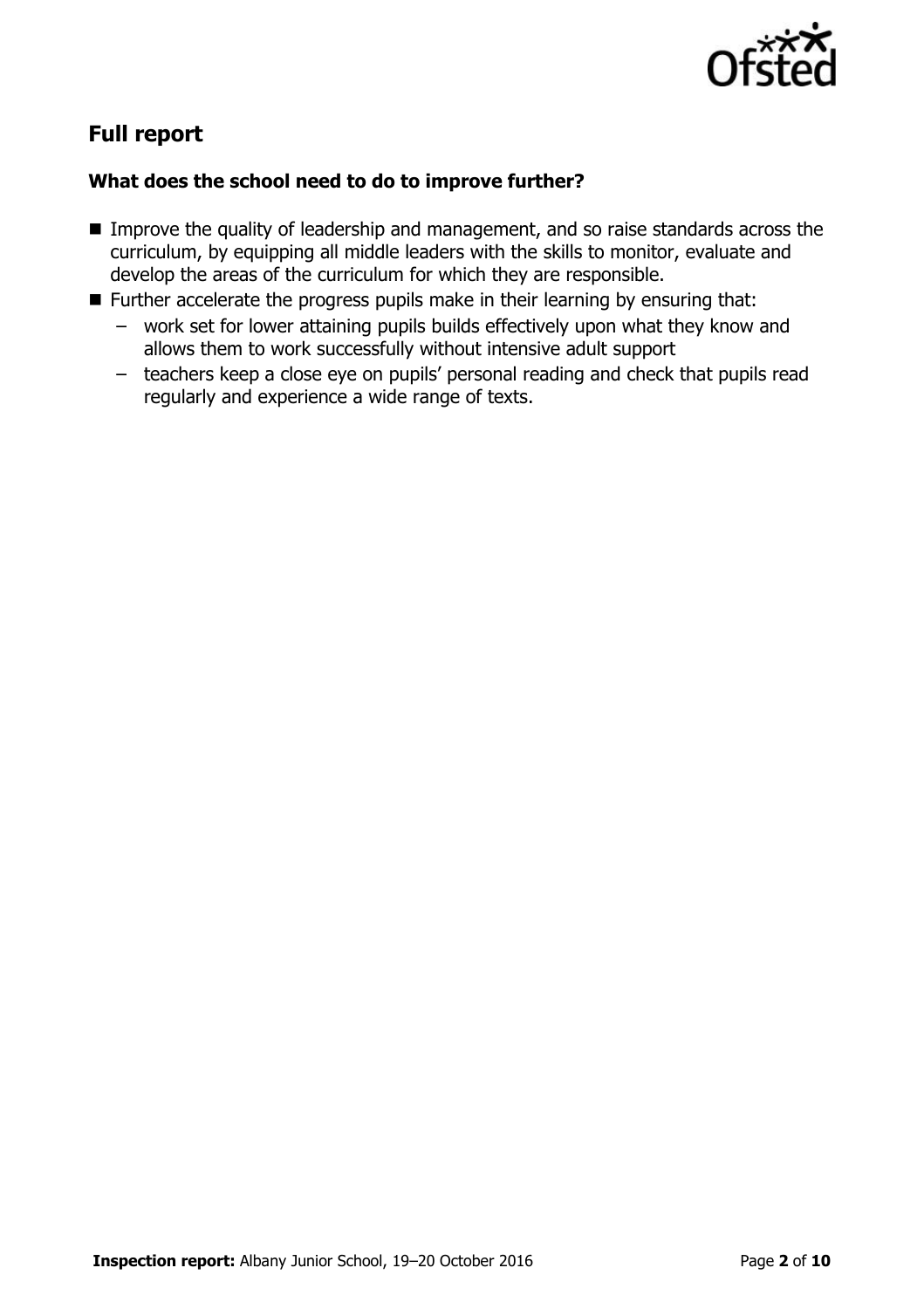

# **Full report**

### **What does the school need to do to improve further?**

- Improve the quality of leadership and management, and so raise standards across the curriculum, by equipping all middle leaders with the skills to monitor, evaluate and develop the areas of the curriculum for which they are responsible.
- **Further accelerate the progress pupils make in their learning by ensuring that:** 
	- work set for lower attaining pupils builds effectively upon what they know and allows them to work successfully without intensive adult support
	- teachers keep a close eye on pupils' personal reading and check that pupils read regularly and experience a wide range of texts.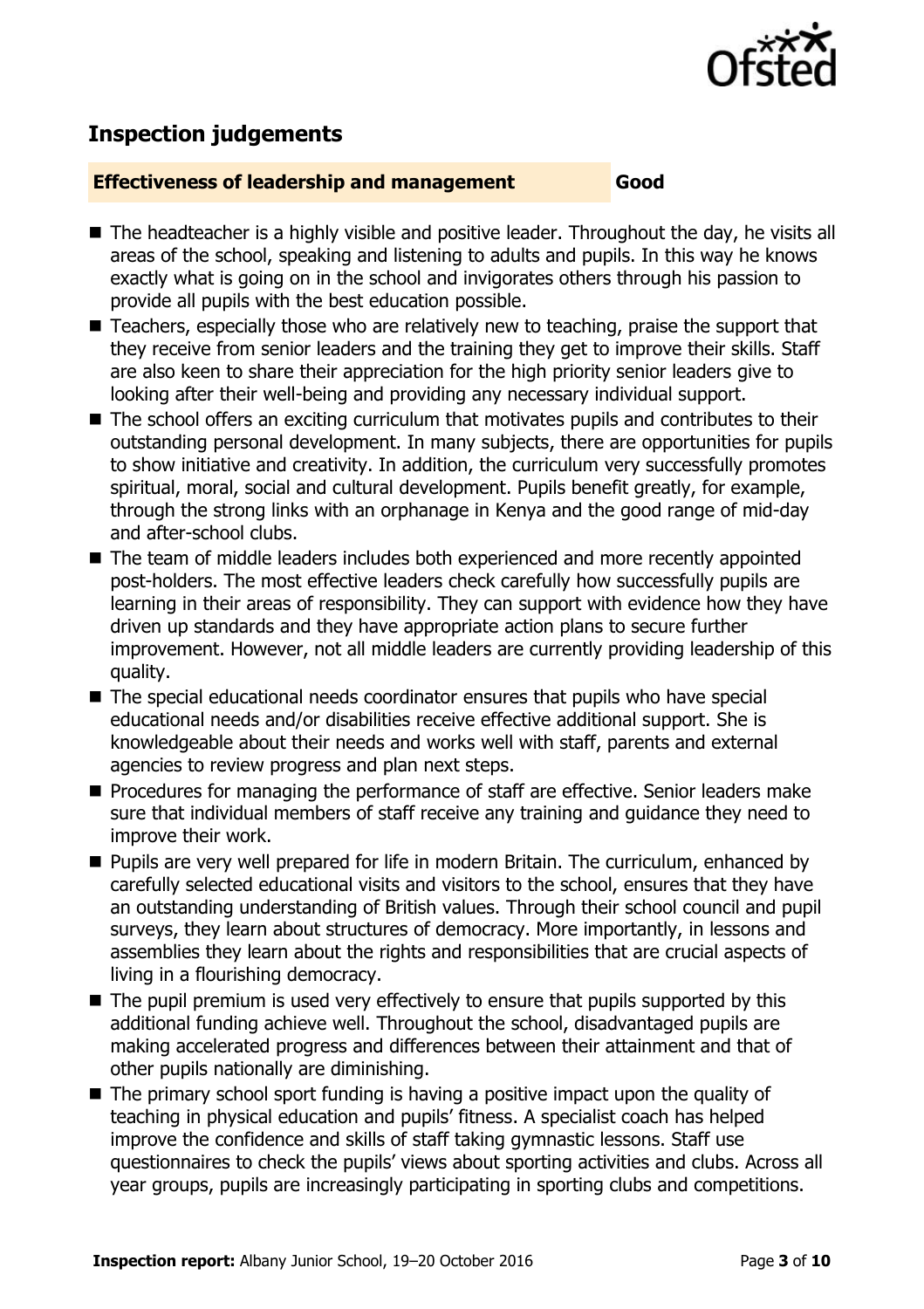

## **Inspection judgements**

#### **Effectiveness of leadership and management Good**

- The headteacher is a highly visible and positive leader. Throughout the day, he visits all areas of the school, speaking and listening to adults and pupils. In this way he knows exactly what is going on in the school and invigorates others through his passion to provide all pupils with the best education possible.
- Teachers, especially those who are relatively new to teaching, praise the support that they receive from senior leaders and the training they get to improve their skills. Staff are also keen to share their appreciation for the high priority senior leaders give to looking after their well-being and providing any necessary individual support.
- The school offers an exciting curriculum that motivates pupils and contributes to their outstanding personal development. In many subjects, there are opportunities for pupils to show initiative and creativity. In addition, the curriculum very successfully promotes spiritual, moral, social and cultural development. Pupils benefit greatly, for example, through the strong links with an orphanage in Kenya and the good range of mid-day and after-school clubs.
- The team of middle leaders includes both experienced and more recently appointed post-holders. The most effective leaders check carefully how successfully pupils are learning in their areas of responsibility. They can support with evidence how they have driven up standards and they have appropriate action plans to secure further improvement. However, not all middle leaders are currently providing leadership of this quality.
- The special educational needs coordinator ensures that pupils who have special educational needs and/or disabilities receive effective additional support. She is knowledgeable about their needs and works well with staff, parents and external agencies to review progress and plan next steps.
- **Procedures for managing the performance of staff are effective. Senior leaders make** sure that individual members of staff receive any training and guidance they need to improve their work.
- **Pupils are very well prepared for life in modern Britain. The curriculum, enhanced by** carefully selected educational visits and visitors to the school, ensures that they have an outstanding understanding of British values. Through their school council and pupil surveys, they learn about structures of democracy. More importantly, in lessons and assemblies they learn about the rights and responsibilities that are crucial aspects of living in a flourishing democracy.
- $\blacksquare$  The pupil premium is used very effectively to ensure that pupils supported by this additional funding achieve well. Throughout the school, disadvantaged pupils are making accelerated progress and differences between their attainment and that of other pupils nationally are diminishing.
- The primary school sport funding is having a positive impact upon the quality of teaching in physical education and pupils' fitness. A specialist coach has helped improve the confidence and skills of staff taking gymnastic lessons. Staff use questionnaires to check the pupils' views about sporting activities and clubs. Across all year groups, pupils are increasingly participating in sporting clubs and competitions.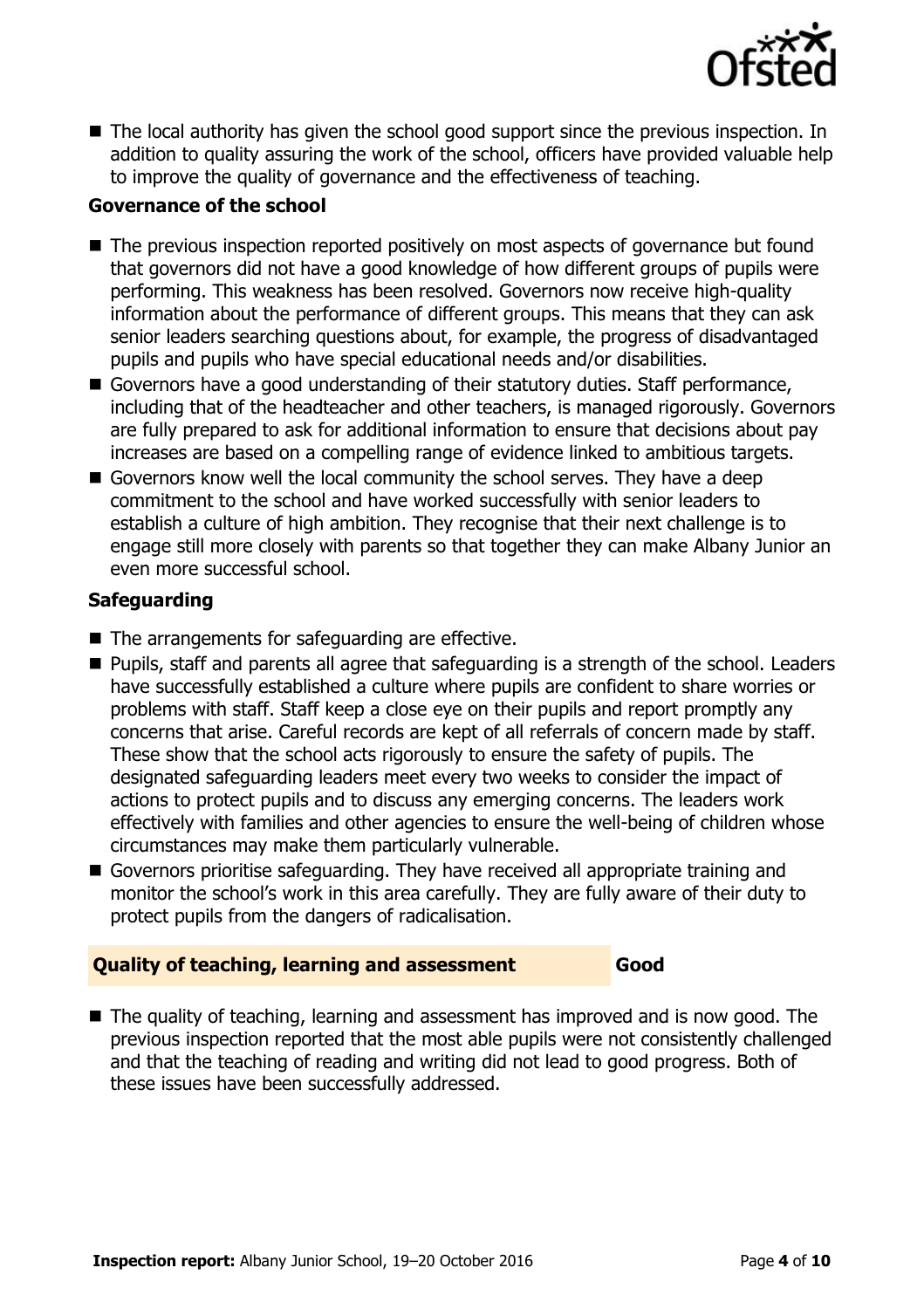

■ The local authority has given the school good support since the previous inspection. In addition to quality assuring the work of the school, officers have provided valuable help to improve the quality of governance and the effectiveness of teaching.

#### **Governance of the school**

- The previous inspection reported positively on most aspects of governance but found that governors did not have a good knowledge of how different groups of pupils were performing. This weakness has been resolved. Governors now receive high-quality information about the performance of different groups. This means that they can ask senior leaders searching questions about, for example, the progress of disadvantaged pupils and pupils who have special educational needs and/or disabilities.
- Governors have a good understanding of their statutory duties. Staff performance, including that of the headteacher and other teachers, is managed rigorously. Governors are fully prepared to ask for additional information to ensure that decisions about pay increases are based on a compelling range of evidence linked to ambitious targets.
- Governors know well the local community the school serves. They have a deep commitment to the school and have worked successfully with senior leaders to establish a culture of high ambition. They recognise that their next challenge is to engage still more closely with parents so that together they can make Albany Junior an even more successful school.

#### **Safeguarding**

- $\blacksquare$  The arrangements for safeguarding are effective.
- Pupils, staff and parents all agree that safeguarding is a strength of the school. Leaders have successfully established a culture where pupils are confident to share worries or problems with staff. Staff keep a close eye on their pupils and report promptly any concerns that arise. Careful records are kept of all referrals of concern made by staff. These show that the school acts rigorously to ensure the safety of pupils. The designated safeguarding leaders meet every two weeks to consider the impact of actions to protect pupils and to discuss any emerging concerns. The leaders work effectively with families and other agencies to ensure the well-being of children whose circumstances may make them particularly vulnerable.
- Governors prioritise safeguarding. They have received all appropriate training and monitor the school's work in this area carefully. They are fully aware of their duty to protect pupils from the dangers of radicalisation.

#### **Quality of teaching, learning and assessment Good**

■ The quality of teaching, learning and assessment has improved and is now good. The previous inspection reported that the most able pupils were not consistently challenged and that the teaching of reading and writing did not lead to good progress. Both of these issues have been successfully addressed.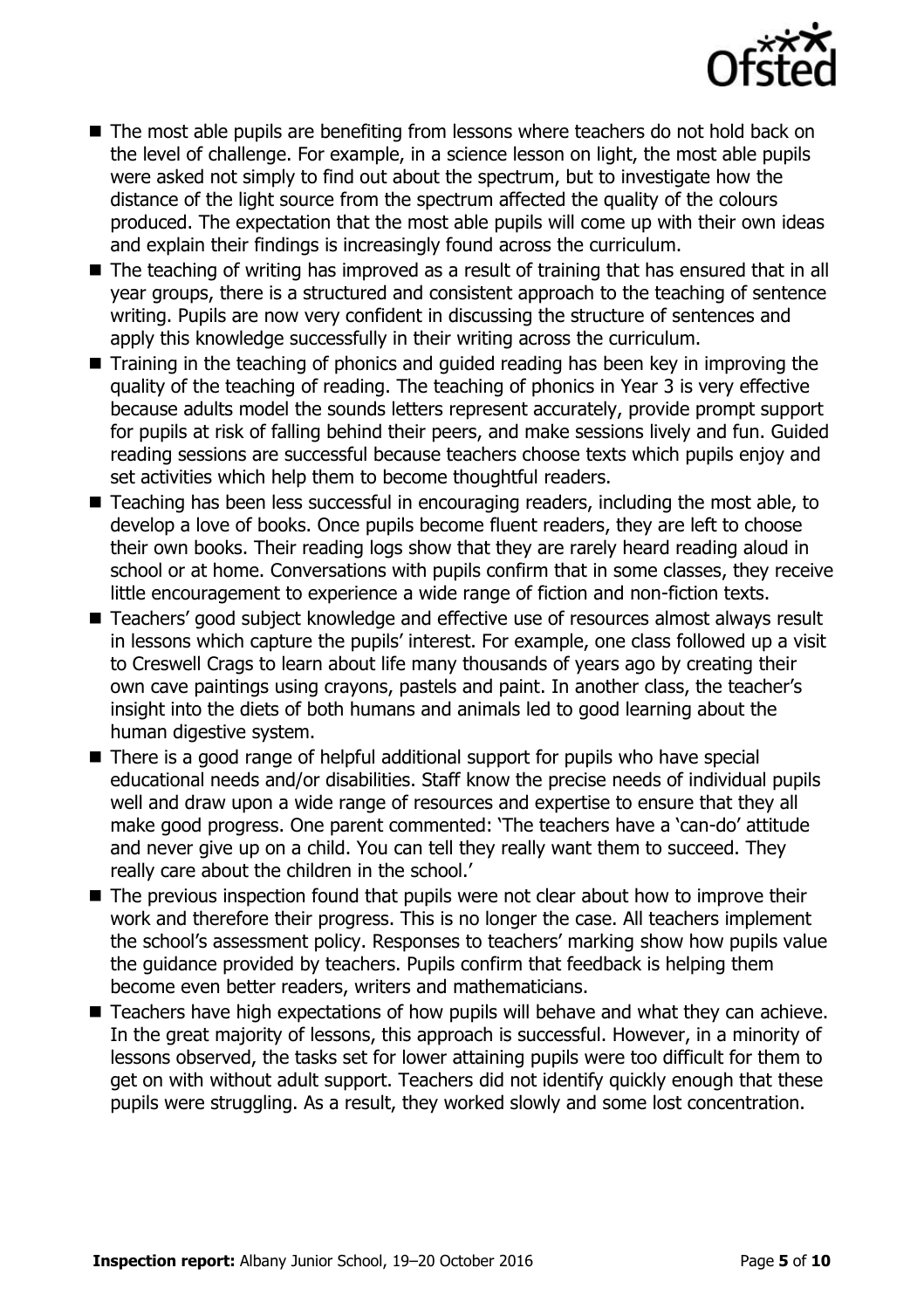

- The most able pupils are benefiting from lessons where teachers do not hold back on the level of challenge. For example, in a science lesson on light, the most able pupils were asked not simply to find out about the spectrum, but to investigate how the distance of the light source from the spectrum affected the quality of the colours produced. The expectation that the most able pupils will come up with their own ideas and explain their findings is increasingly found across the curriculum.
- The teaching of writing has improved as a result of training that has ensured that in all year groups, there is a structured and consistent approach to the teaching of sentence writing. Pupils are now very confident in discussing the structure of sentences and apply this knowledge successfully in their writing across the curriculum.
- Training in the teaching of phonics and guided reading has been key in improving the quality of the teaching of reading. The teaching of phonics in Year 3 is very effective because adults model the sounds letters represent accurately, provide prompt support for pupils at risk of falling behind their peers, and make sessions lively and fun. Guided reading sessions are successful because teachers choose texts which pupils enjoy and set activities which help them to become thoughtful readers.
- Teaching has been less successful in encouraging readers, including the most able, to develop a love of books. Once pupils become fluent readers, they are left to choose their own books. Their reading logs show that they are rarely heard reading aloud in school or at home. Conversations with pupils confirm that in some classes, they receive little encouragement to experience a wide range of fiction and non-fiction texts.
- Teachers' good subject knowledge and effective use of resources almost always result in lessons which capture the pupils' interest. For example, one class followed up a visit to Creswell Crags to learn about life many thousands of years ago by creating their own cave paintings using crayons, pastels and paint. In another class, the teacher's insight into the diets of both humans and animals led to good learning about the human digestive system.
- There is a good range of helpful additional support for pupils who have special educational needs and/or disabilities. Staff know the precise needs of individual pupils well and draw upon a wide range of resources and expertise to ensure that they all make good progress. One parent commented: 'The teachers have a 'can-do' attitude and never give up on a child. You can tell they really want them to succeed. They really care about the children in the school.'
- The previous inspection found that pupils were not clear about how to improve their work and therefore their progress. This is no longer the case. All teachers implement the school's assessment policy. Responses to teachers' marking show how pupils value the guidance provided by teachers. Pupils confirm that feedback is helping them become even better readers, writers and mathematicians.
- Teachers have high expectations of how pupils will behave and what they can achieve. In the great majority of lessons, this approach is successful. However, in a minority of lessons observed, the tasks set for lower attaining pupils were too difficult for them to get on with without adult support. Teachers did not identify quickly enough that these pupils were struggling. As a result, they worked slowly and some lost concentration.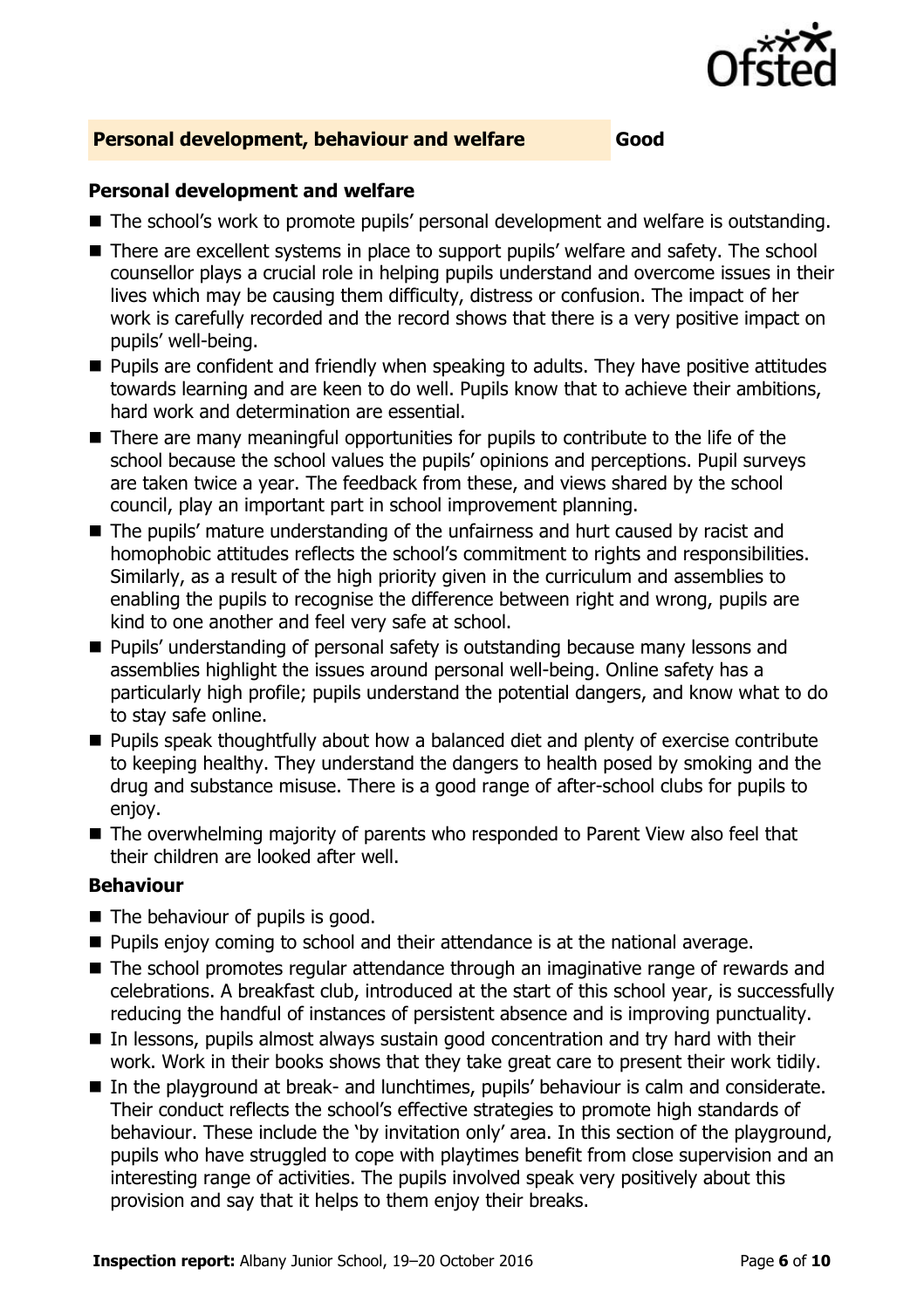

#### **Personal development, behaviour and welfare Good**

#### **Personal development and welfare**

- The school's work to promote pupils' personal development and welfare is outstanding.
- There are excellent systems in place to support pupils' welfare and safety. The school counsellor plays a crucial role in helping pupils understand and overcome issues in their lives which may be causing them difficulty, distress or confusion. The impact of her work is carefully recorded and the record shows that there is a very positive impact on pupils' well-being.
- **Pupils are confident and friendly when speaking to adults. They have positive attitudes** towards learning and are keen to do well. Pupils know that to achieve their ambitions, hard work and determination are essential.
- There are many meaningful opportunities for pupils to contribute to the life of the school because the school values the pupils' opinions and perceptions. Pupil surveys are taken twice a year. The feedback from these, and views shared by the school council, play an important part in school improvement planning.
- The pupils' mature understanding of the unfairness and hurt caused by racist and homophobic attitudes reflects the school's commitment to rights and responsibilities. Similarly, as a result of the high priority given in the curriculum and assemblies to enabling the pupils to recognise the difference between right and wrong, pupils are kind to one another and feel very safe at school.
- **Pupils' understanding of personal safety is outstanding because many lessons and** assemblies highlight the issues around personal well-being. Online safety has a particularly high profile; pupils understand the potential dangers, and know what to do to stay safe online.
- **Pupils speak thoughtfully about how a balanced diet and plenty of exercise contribute** to keeping healthy. They understand the dangers to health posed by smoking and the drug and substance misuse. There is a good range of after-school clubs for pupils to enjoy.
- The overwhelming majority of parents who responded to Parent View also feel that their children are looked after well.

#### **Behaviour**

- The behaviour of pupils is good.
- **Pupils enjoy coming to school and their attendance is at the national average.**
- The school promotes regular attendance through an imaginative range of rewards and celebrations. A breakfast club, introduced at the start of this school year, is successfully reducing the handful of instances of persistent absence and is improving punctuality.
- In lessons, pupils almost always sustain good concentration and try hard with their work. Work in their books shows that they take great care to present their work tidily.
- In the playground at break- and lunchtimes, pupils' behaviour is calm and considerate. Their conduct reflects the school's effective strategies to promote high standards of behaviour. These include the 'by invitation only' area. In this section of the playground, pupils who have struggled to cope with playtimes benefit from close supervision and an interesting range of activities. The pupils involved speak very positively about this provision and say that it helps to them enjoy their breaks.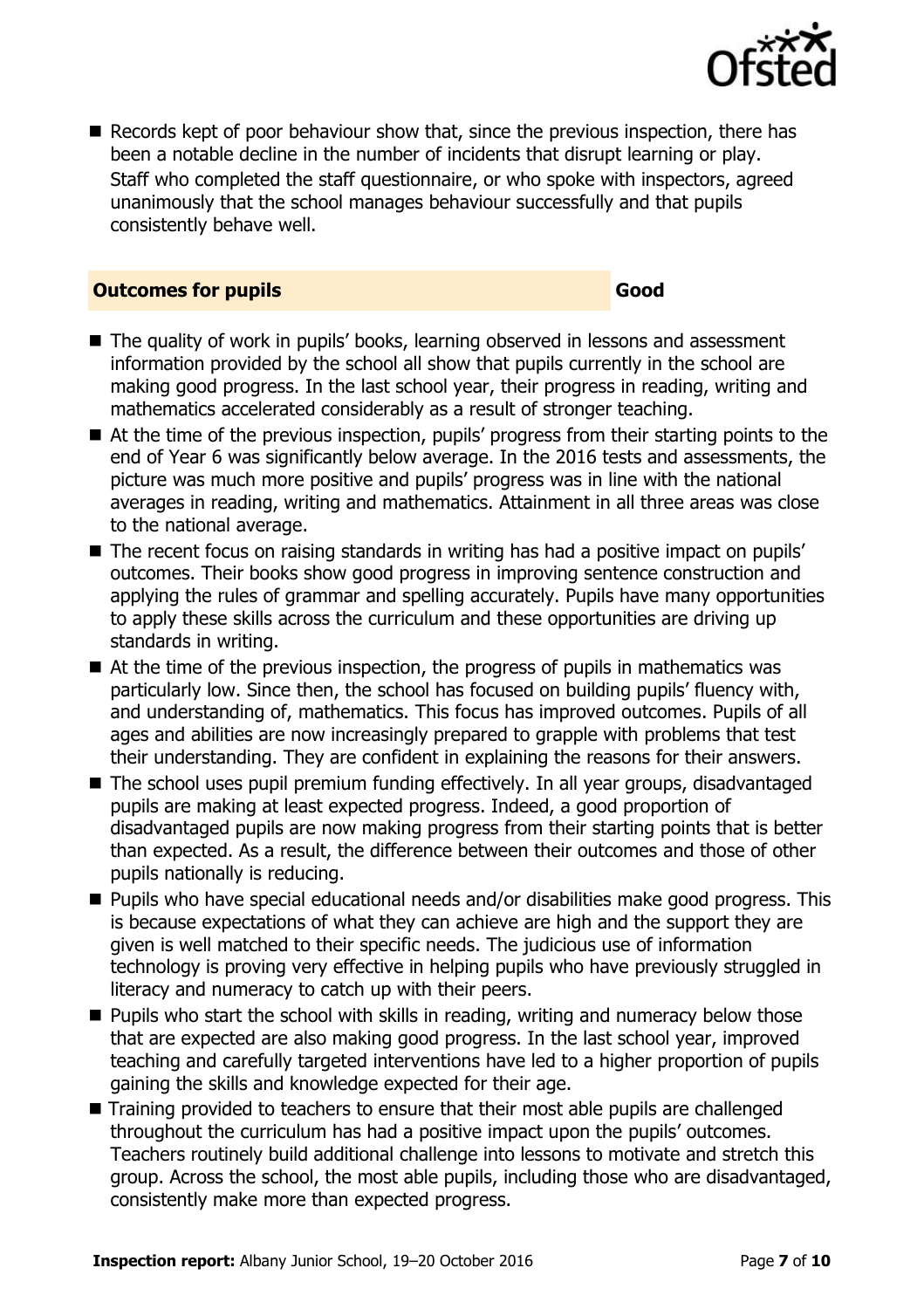

Records kept of poor behaviour show that, since the previous inspection, there has been a notable decline in the number of incidents that disrupt learning or play. Staff who completed the staff questionnaire, or who spoke with inspectors, agreed unanimously that the school manages behaviour successfully and that pupils consistently behave well.

#### **Outcomes for pupils Good**

- The quality of work in pupils' books, learning observed in lessons and assessment information provided by the school all show that pupils currently in the school are making good progress. In the last school year, their progress in reading, writing and mathematics accelerated considerably as a result of stronger teaching.
- At the time of the previous inspection, pupils' progress from their starting points to the end of Year 6 was significantly below average. In the 2016 tests and assessments, the picture was much more positive and pupils' progress was in line with the national averages in reading, writing and mathematics. Attainment in all three areas was close to the national average.
- The recent focus on raising standards in writing has had a positive impact on pupils' outcomes. Their books show good progress in improving sentence construction and applying the rules of grammar and spelling accurately. Pupils have many opportunities to apply these skills across the curriculum and these opportunities are driving up standards in writing.
- At the time of the previous inspection, the progress of pupils in mathematics was particularly low. Since then, the school has focused on building pupils' fluency with, and understanding of, mathematics. This focus has improved outcomes. Pupils of all ages and abilities are now increasingly prepared to grapple with problems that test their understanding. They are confident in explaining the reasons for their answers.
- The school uses pupil premium funding effectively. In all year groups, disadvantaged pupils are making at least expected progress. Indeed, a good proportion of disadvantaged pupils are now making progress from their starting points that is better than expected. As a result, the difference between their outcomes and those of other pupils nationally is reducing.
- Pupils who have special educational needs and/or disabilities make good progress. This is because expectations of what they can achieve are high and the support they are given is well matched to their specific needs. The judicious use of information technology is proving very effective in helping pupils who have previously struggled in literacy and numeracy to catch up with their peers.
- **Pupils who start the school with skills in reading, writing and numeracy below those** that are expected are also making good progress. In the last school year, improved teaching and carefully targeted interventions have led to a higher proportion of pupils gaining the skills and knowledge expected for their age.
- Training provided to teachers to ensure that their most able pupils are challenged throughout the curriculum has had a positive impact upon the pupils' outcomes. Teachers routinely build additional challenge into lessons to motivate and stretch this group. Across the school, the most able pupils, including those who are disadvantaged, consistently make more than expected progress.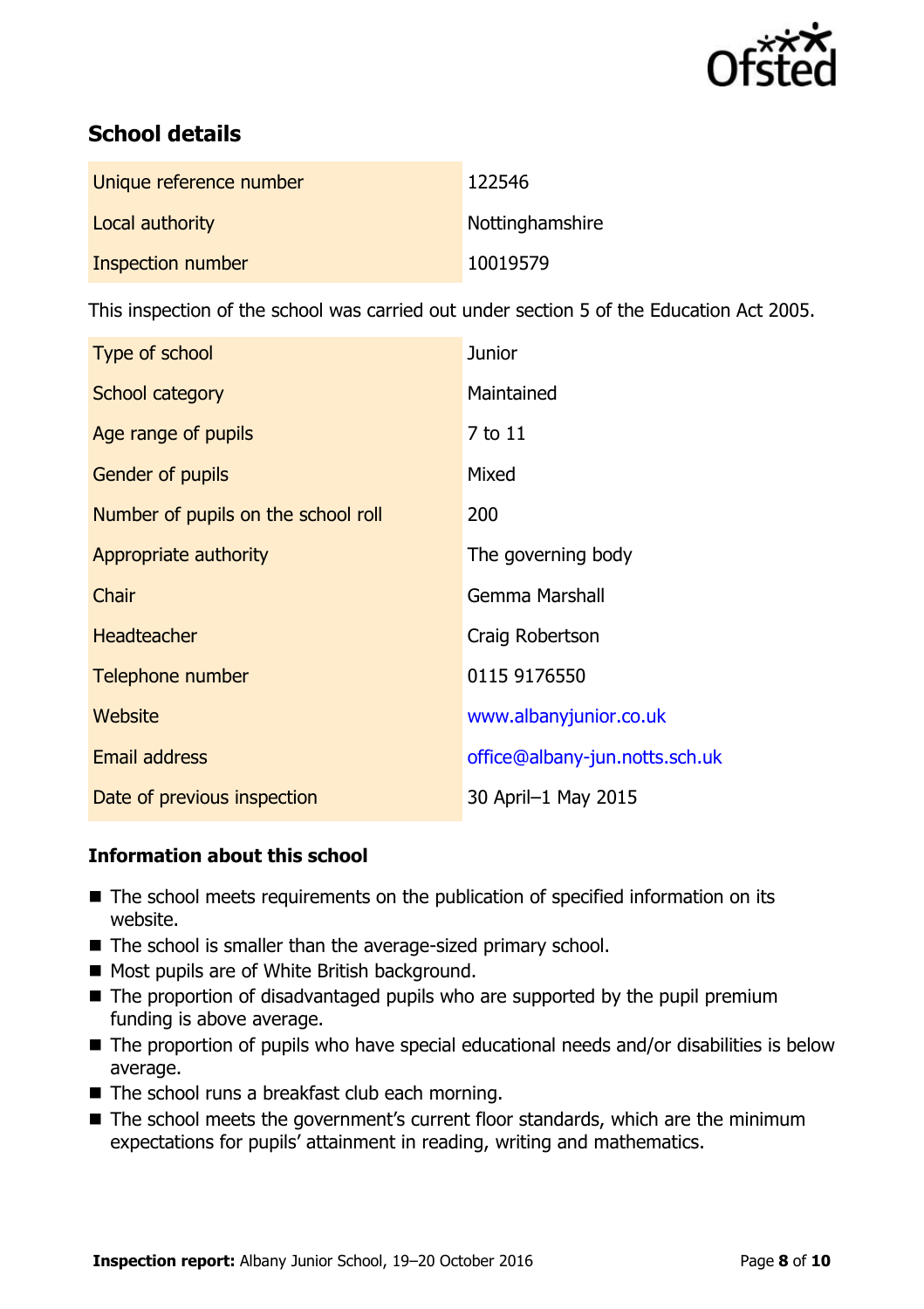

# **School details**

| Unique reference number | 122546          |
|-------------------------|-----------------|
| Local authority         | Nottinghamshire |
| Inspection number       | 10019579        |

This inspection of the school was carried out under section 5 of the Education Act 2005.

| Type of school                      | <b>Junior</b>                  |
|-------------------------------------|--------------------------------|
| School category                     | Maintained                     |
| Age range of pupils                 | 7 to 11                        |
| Gender of pupils                    | Mixed                          |
| Number of pupils on the school roll | 200                            |
| Appropriate authority               | The governing body             |
| Chair                               | <b>Gemma Marshall</b>          |
| <b>Headteacher</b>                  | Craig Robertson                |
| Telephone number                    | 0115 9176550                   |
| Website                             | www.albanyjunior.co.uk         |
| Email address                       | office@albany-jun.notts.sch.uk |
| Date of previous inspection         | 30 April-1 May 2015            |

### **Information about this school**

- The school meets requirements on the publication of specified information on its website.
- The school is smaller than the average-sized primary school.
- Most pupils are of White British background.
- $\blacksquare$  The proportion of disadvantaged pupils who are supported by the pupil premium funding is above average.
- The proportion of pupils who have special educational needs and/or disabilities is below average.
- The school runs a breakfast club each morning.
- The school meets the government's current floor standards, which are the minimum expectations for pupils' attainment in reading, writing and mathematics.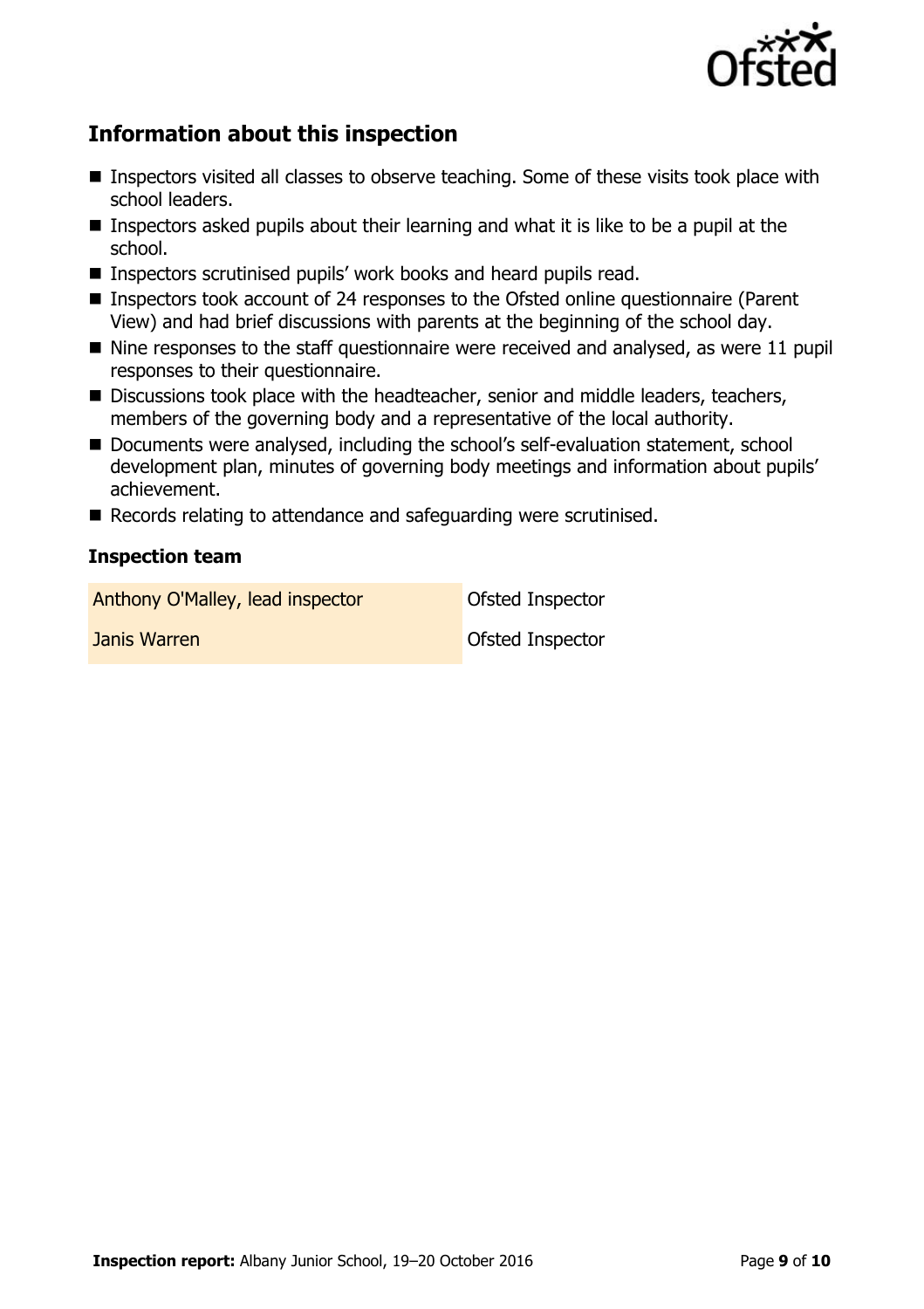

# **Information about this inspection**

- Inspectors visited all classes to observe teaching. Some of these visits took place with school leaders.
- **Inspectors asked pupils about their learning and what it is like to be a pupil at the** school.
- Inspectors scrutinised pupils' work books and heard pupils read.
- Inspectors took account of 24 responses to the Ofsted online questionnaire (Parent View) and had brief discussions with parents at the beginning of the school day.
- $\blacksquare$  Nine responses to the staff questionnaire were received and analysed, as were 11 pupil responses to their questionnaire.
- Discussions took place with the headteacher, senior and middle leaders, teachers, members of the governing body and a representative of the local authority.
- Documents were analysed, including the school's self-evaluation statement, school development plan, minutes of governing body meetings and information about pupils' achievement.
- Records relating to attendance and safeguarding were scrutinised.

#### **Inspection team**

Anthony O'Malley, lead inspector **Ofsted Inspector** 

**Janis Warren Communist Communist Communist Communist Communist Communist Communist Communist Communist Communist Communist Communist Communist Communist Communist Communist Communist Communist Communist Communist Communis**